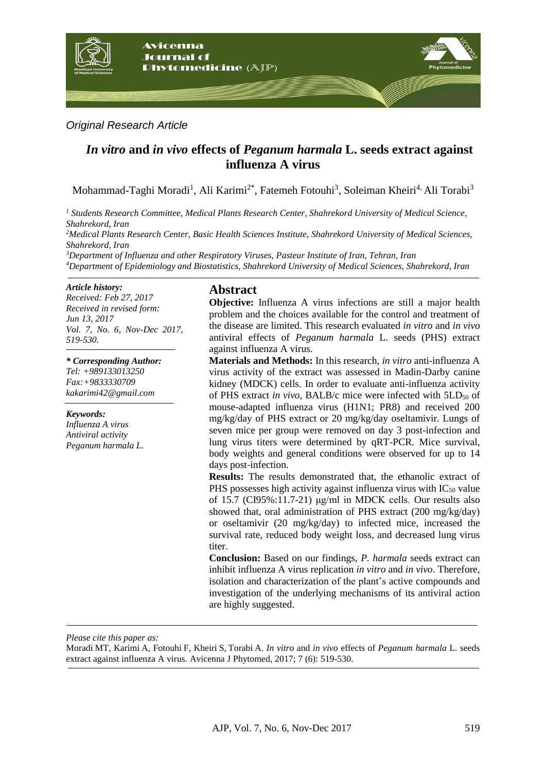

#### *Original Research Article*

# *In vitro* **and** *in vivo* **effects of** *Peganum harmala* **L. seeds extract against influenza A virus**

Mohammad-Taghi Moradi<sup>1</sup>, Ali Karimi<sup>2\*</sup>, Fatemeh Fotouhi<sup>3</sup>, Soleiman Kheiri<sup>4,</sup> Ali Torabi<sup>3</sup>

 *Students Research Committee, Medical Plants Research Center, Shahrekord University of Medical Science, Shahrekord, Iran Medical Plants Research Center, Basic Health Sciences Institute, Shahrekord University of Medical Sciences, Shahrekord, Iran Department of Influenza and other Respiratory Viruses, Pasteur Institute of Iran, Tehran, Iran Department of Epidemiology and Biostatistics, Shahrekord University of Medical Sciences, Shahrekord, Iran*

*Article history:*

*Received: Feb 27, 2017 Received in revised form: Jun 13, 2017 Vol. 7, No. 6, Nov-Dec 2017, 519-530.*

*\* Corresponding Author: Tel: +989133013250 Fax:+9833330709 [kakarimi42@gmail.com](mailto:kakarimi42@gmail.com)*

*Keywords: Influenza A virus Antiviral activity Peganum harmala L.*

# **Abstract**

**Objective:** Influenza A virus infections are still a major health problem and the choices available for the control and treatment of the disease are limited. This research evaluated *in vitro* and *in vivo* antiviral effects of *Peganum harmala* L. seeds (PHS) extract against influenza A virus.

**Materials and Methods:** In this research, *in vitro* anti-influenza A virus activity of the extract was assessed in Madin-Darby canine kidney (MDCK) cells. In order to evaluate anti-influenza activity of PHS extract *in vivo*, BALB/c mice were infected with 5LD<sub>50</sub> of mouse-adapted influenza virus (H1N1; PR8) and received 200 mg/kg/day of PHS extract or 20 mg/kg/day oseltamivir. Lungs of seven mice per group were removed on day 3 post-infection and lung virus titers were determined by qRT-PCR. Mice survival, body weights and general conditions were observed for up to 14 days post-infection.

**Results:** The results demonstrated that, the ethanolic extract of PHS possesses high activity against influenza virus with  $IC_{50}$  value of 15.7 (CI95%:11.7-21) μg/ml in MDCK cells. Our results also showed that, oral administration of PHS extract (200 mg/kg/day) or oseltamivir (20 mg/kg/day) to infected mice, increased the survival rate, reduced body weight loss, and decreased lung virus titer.

**Conclusion:** Based on our findings, *P. harmala* seeds extract can inhibit influenza A virus replication *in vitro* and *in vivo*. Therefore, isolation and characterization of the plant's active compounds and investigation of the underlying mechanisms of its antiviral action are highly suggested.

*Please cite this paper as:* 

Moradi MT, Karimi A, Fotouhi F, Kheiri S, Torabi A. *In vitro* and *in vivo* effects of *Peganum harmala* L. seeds extract against influenza A virus. Avicenna J Phytomed, 2017; 7 (6): 519-530.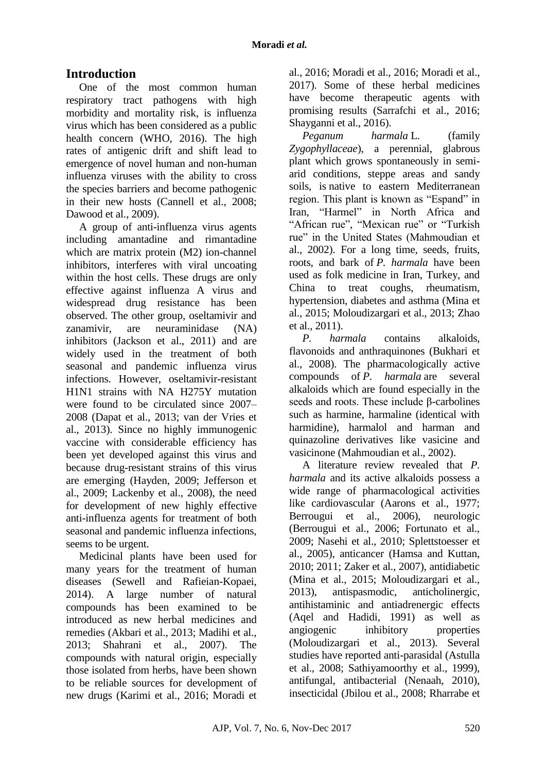# **Introduction**

One of the most common human respiratory tract pathogens with high morbidity and mortality risk, is influenza virus which has been considered as a public health concern (WHO, 2016). The high rates of antigenic drift and shift lead to emergence of novel human and non-human influenza viruses with the ability to cross the species barriers and become pathogenic in their new hosts (Cannell et al., 2008; Dawood et al., 2009).

A group of anti-influenza virus agents including amantadine and rimantadine which are matrix protein (M2) ion-channel inhibitors, interferes with viral uncoating within the host cells. These drugs are only effective against influenza A virus and widespread drug resistance has been observed. The other group, oseltamivir and zanamivir, are neuraminidase (NA) inhibitors (Jackson et al., 2011) and are widely used in the treatment of both seasonal and pandemic influenza virus infections. However, oseltamivir-resistant H1N1 strains with NA H275Y mutation were found to be circulated since 2007– 2008 (Dapat et al., 2013; van der Vries et al., 2013). Since no highly immunogenic vaccine with considerable efficiency has been yet developed against this virus and because drug-resistant strains of this virus are emerging (Hayden, 2009; Jefferson et al., 2009; Lackenby et al., 2008), the need for development of new highly effective anti-influenza agents for treatment of both seasonal and pandemic influenza infections, seems to be urgent.

Medicinal plants have been used for many years for the treatment of human diseases (Sewell and Rafieian-Kopaei, 2014). A large number of natural compounds has been examined to be introduced as new herbal medicines and remedies (Akbari et al., 2013; Madihi et al., 2013; Shahrani et al., 2007). The compounds with natural origin, especially those isolated from herbs, have been shown to be reliable sources for development of new drugs (Karimi et al., 2016; Moradi et al., 2016; Moradi et al., 2016; Moradi et al., 2017). Some of these herbal medicines have become therapeutic agents with promising results (Sarrafchi et al., 2016; Shayganni et al., 2016).

*Peganum harmala* L. (family *Zygophyllaceae*), a perennial, glabrous plant which grows spontaneously in semiarid conditions, steppe areas and sandy soils, is native to eastern Mediterranean region. This plant is known as "Espand" in Iran, "Harmel" in North Africa and "African rue", "Mexican rue" or "Turkish rue" in the United States (Mahmoudian et al., 2002). For a long time, seeds, fruits, roots, and bark of *P. harmala* have been used as folk medicine in Iran, Turkey, and China to treat coughs, rheumatism, hypertension, diabetes and asthma (Mina et al., 2015; Moloudizargari et al., 2013; Zhao et al., 2011).

*P. harmala* contains alkaloids, flavonoids and anthraquinones (Bukhari et al., 2008). The pharmacologically active compounds of *P. harmala* are several alkaloids which are found especially in the seeds and roots. These include β-carbolines such as harmine, harmaline (identical with harmidine), harmalol and harman and quinazoline derivatives like vasicine and vasicinone (Mahmoudian et al., 2002).

A literature review revealed that *P. harmala* and its active alkaloids possess a wide range of pharmacological activities like cardiovascular (Aarons et al., 1977; Berrougui et al., 2006), neurologic (Berrougui et al., 2006; Fortunato et al., 2009; Nasehi et al., 2010; Splettstoesser et al., 2005), anticancer (Hamsa and Kuttan, 2010; 2011; Zaker et al., 2007), antidiabetic (Mina et al., 2015; Moloudizargari et al., 2013), antispasmodic, anticholinergic, antihistaminic and antiadrenergic effects (Aqel and Hadidi, 1991) as well as angiogenic inhibitory properties (Moloudizargari et al., 2013). Several studies have reported anti-parasidal (Astulla et al., 2008; Sathiyamoorthy et al., 1999), antifungal, antibacterial (Nenaah, 2010), insecticidal (Jbilou et al., 2008; Rharrabe et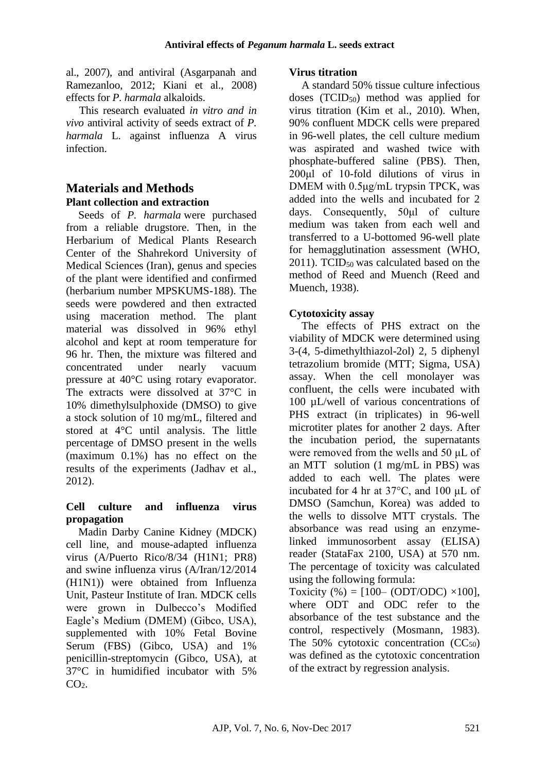al., 2007), and antiviral (Asgarpanah and Ramezanloo, 2012; Kiani et al., 2008) effects for *P. harmala* alkaloids.

This research evaluated *in vitro and in vivo* antiviral activity of seeds extract of *P. harmala* L. against influenza A virus infection.

# **Materials and Methods Plant collection and extraction**

Seeds of *P. harmala* were purchased from a reliable drugstore. Then, in the Herbarium of Medical Plants Research Center of the Shahrekord University of Medical Sciences (Iran), genus and species of the plant were identified and confirmed (herbarium number MPSKUMS-188). The seeds were powdered and then extracted using maceration method. The plant material was dissolved in 96% ethyl alcohol and kept at room temperature for 96 hr. Then, the mixture was filtered and concentrated under nearly vacuum pressure at 40°C using rotary evaporator. The extracts were dissolved at 37°C in 10% dimethylsulphoxide (DMSO) to give a stock solution of 10 mg/mL, filtered and stored at 4°C until analysis. The little percentage of DMSO present in the wells (maximum 0.1%) has no effect on the results of the experiments (Jadhav et al., 2012).

## **Cell culture and influenza virus propagation**

Madin Darby Canine Kidney (MDCK) cell line, and mouse-adapted influenza virus (A/Puerto Rico/8/34 (H1N1; PR8) and swine influenza virus (A/Iran/12/2014 (H1N1)) were obtained from Influenza Unit, Pasteur Institute of Iran. MDCK cells were grown in Dulbecco's Modified Eagle's Medium (DMEM) (Gibco, USA), supplemented with 10% Fetal Bovine Serum (FBS) (Gibco, USA) and 1% penicillin-streptomycin (Gibco, USA), at 37°C in humidified incubator with 5%  $CO<sub>2</sub>$ .

#### **Virus titration**

A standard 50% tissue culture infectious doses (TCID50) method was applied for virus titration (Kim et al., 2010). When, 90% confluent MDCK cells were prepared in 96-well plates, the cell culture medium was aspirated and washed twice with phosphate-buffered saline (PBS). Then, 200μl of 10-fold dilutions of virus in DMEM with 0.5μg/mL trypsin TPCK, was added into the wells and incubated for 2 days. Consequently, 50μl of culture medium was taken from each well and transferred to a U-bottomed 96-well plate for hemagglutination assessment (WHO, 2011). TCID<sub>50</sub> was calculated based on the method of Reed and Muench (Reed and Muench, 1938).

## **Cytotoxicity assay**

The effects of PHS extract on the viability of MDCK were determined using 3-(4, 5-dimethylthiazol-2ol) 2, 5 diphenyl tetrazolium bromide (MTT; Sigma, USA) assay. When the cell monolayer was confluent, the cells were incubated with 100 µL/well of various concentrations of PHS extract (in triplicates) in 96-well microtiter plates for another 2 days. After the incubation period, the supernatants were removed from the wells and 50 μL of an MTT solution (1 mg/mL in PBS) was added to each well. The plates were incubated for 4 hr at 37°C, and 100 μL of DMSO (Samchun, Korea) was added to the wells to dissolve MTT crystals. The absorbance was read using an enzymelinked immunosorbent assay (ELISA) reader (StataFax 2100, USA) at 570 nm. The percentage of toxicity was calculated using the following formula:

Toxicity (%) =  $[100 - (ODT/ODC) \times 100]$ , where ODT and ODC refer to the absorbance of the test substance and the control, respectively (Mosmann, 1983). The  $50\%$  cytotoxic concentration  $(CC_{50})$ was defined as the cytotoxic concentration of the extract by regression analysis.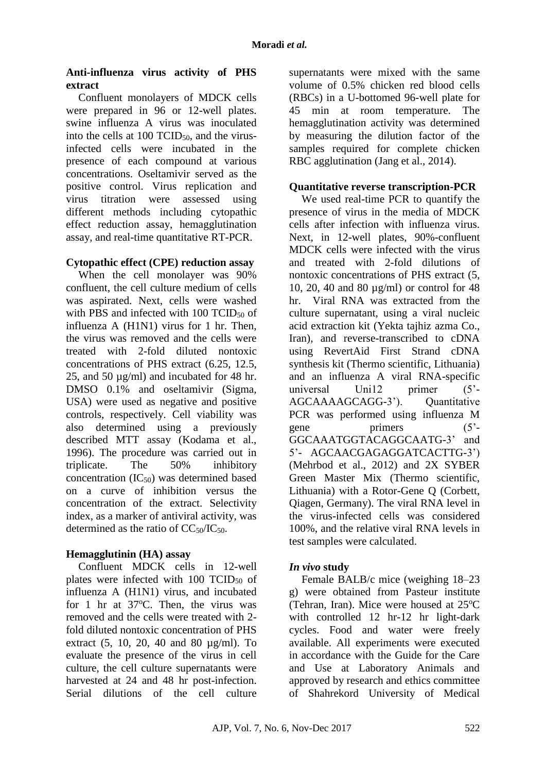#### **Anti-influenza virus activity of PHS extract**

Confluent monolayers of MDCK cells were prepared in 96 or 12-well plates. swine influenza A virus was inoculated into the cells at  $100$  TCID<sub>50</sub>, and the virusinfected cells were incubated in the presence of each compound at various concentrations. Oseltamivir served as the positive control. Virus replication and virus titration were assessed using different methods including cytopathic effect reduction assay, hemagglutination assay, and real-time quantitative RT-PCR.

## **Cytopathic effect (CPE) reduction assay**

When the cell monolayer was 90% confluent, the cell culture medium of cells was aspirated. Next, cells were washed with PBS and infected with  $100$  TCID<sub>50</sub> of influenza A (H1N1) virus for 1 hr. Then, the virus was removed and the cells were treated with 2-fold diluted nontoxic concentrations of PHS extract (6.25, 12.5, 25, and 50 µg/ml) and incubated for 48 hr. DMSO 0.1% and oseltamivir (Sigma, USA) were used as negative and positive controls, respectively. Cell viability was also determined using a previously described MTT assay (Kodama et al., 1996). The procedure was carried out in triplicate. The 50% inhibitory concentration  $(IC_{50})$  was determined based on a curve of inhibition versus the concentration of the extract. Selectivity index, as a marker of antiviral activity, was determined as the ratio of  $CC_{50}/IC_{50}$ .

## **Hemagglutinin (HA) assay**

Confluent MDCK cells in 12-well plates were infected with  $100$  TCID<sub>50</sub> of influenza A (H1N1) virus, and incubated for 1 hr at  $37^{\circ}$ C. Then, the virus was removed and the cells were treated with 2 fold diluted nontoxic concentration of PHS extract (5, 10, 20, 40 and 80 µg/ml). To evaluate the presence of the virus in cell culture, the cell culture supernatants were harvested at 24 and 48 hr post-infection. Serial dilutions of the cell culture

supernatants were mixed with the same volume of 0.5% chicken red blood cells (RBCs) in a U-bottomed 96-well plate for 45 min at room temperature. The hemagglutination activity was determined by measuring the dilution factor of the samples required for complete chicken RBC agglutination (Jang et al., 2014).

#### **Quantitative reverse transcription-PCR**

We used real-time PCR to quantify the presence of virus in the media of MDCK cells after infection with influenza virus. Next, in 12-well plates, 90%-confluent MDCK cells were infected with the virus and treated with 2-fold dilutions of nontoxic concentrations of PHS extract (5, 10, 20, 40 and 80 µg/ml) or control for 48 hr. Viral RNA was extracted from the culture supernatant, using a viral nucleic acid extraction kit (Yekta tajhiz azma Co., Iran), and reverse-transcribed to cDNA using RevertAid First Strand cDNA synthesis kit (Thermo scientific, Lithuania) and an influenza A viral RNA-specific universal  $Uni12$  primer  $(5^2 -$ AGCAAAAGCAGG-3'). Quantitative PCR was performed using influenza M gene primers (5<sup>'</sup>-GGCAAATGGTACAGGCAATG-3' and 5'- AGCAACGAGAGGATCACTTG-3') (Mehrbod et al., 2012) and 2X SYBER Green Master Mix (Thermo scientific, Lithuania) with a Rotor-Gene Q (Corbett, Qiagen, Germany). The viral RNA level in the virus-infected cells was considered 100%, and the relative viral RNA levels in test samples were calculated.

## *In vivo* **study**

Female BALB/c mice (weighing 18–23 g) were obtained from Pasteur institute (Tehran, Iran). Mice were housed at  $25^{\circ}$ C with controlled 12 hr-12 hr light-dark cycles. Food and water were freely available. All experiments were executed in accordance with the Guide for the Care and Use at Laboratory Animals and approved by research and ethics committee of Shahrekord University of Medical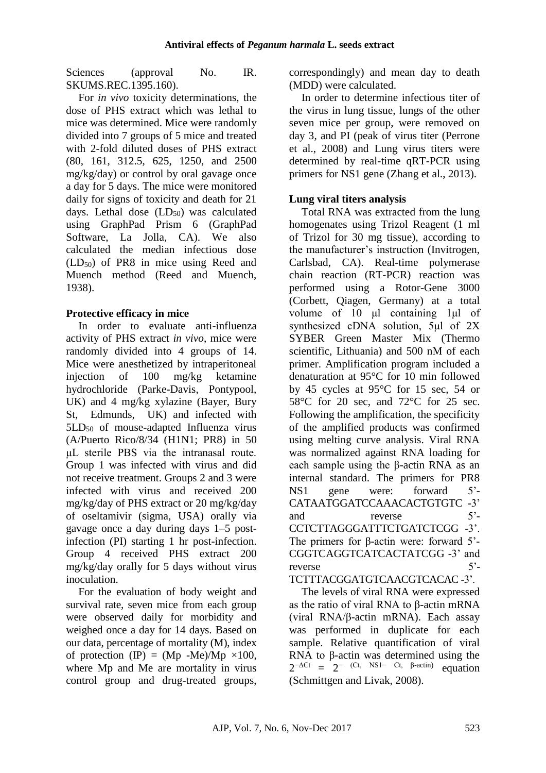Sciences (approval No. IR. SKUMS.REC.1395.160).

For *in vivo* toxicity determinations, the dose of PHS extract which was lethal to mice was determined. Mice were randomly divided into 7 groups of 5 mice and treated with 2-fold diluted doses of PHS extract (80, 161, 312.5, 625, 1250, and 2500 mg/kg/day) or control by oral gavage once a day for 5 days. The mice were monitored daily for signs of toxicity and death for 21 days. Lethal dose (LD<sub>50</sub>) was calculated using GraphPad Prism 6 (GraphPad Software, La Jolla, CA). We also calculated the median infectious dose  $(LD_{50})$  of PR8 in mice using Reed and Muench method (Reed and Muench, 1938).

## **Protective efficacy in mice**

In order to evaluate anti-influenza activity of PHS extract *in vivo*, mice were randomly divided into 4 groups of 14. Mice were anesthetized by intraperitoneal injection of 100 mg/kg ketamine hydrochloride (Parke-Davis, Pontypool, UK) and 4 mg/kg xylazine (Bayer, Bury St, Edmunds, UK) and infected with 5LD<sup>50</sup> of mouse-adapted Influenza virus (A/Puerto Rico/8/34 (H1N1; PR8) in 50 μL sterile PBS via the intranasal route. Group 1 was infected with virus and did not receive treatment. Groups 2 and 3 were infected with virus and received 200 mg/kg/day of PHS extract or 20 mg/kg/day of oseltamivir (sigma, USA) orally via gavage once a day during days 1–5 postinfection (PI) starting 1 hr post-infection. Group 4 received PHS extract 200 mg/kg/day orally for 5 days without virus inoculation.

For the evaluation of body weight and survival rate, seven mice from each group were observed daily for morbidity and weighed once a day for 14 days. Based on our data, percentage of mortality (M), index of protection (IP) =  $(Mp - Me)/Mp \times 100$ , where Mp and Me are mortality in virus control group and drug-treated groups,

correspondingly) and mean day to death (MDD) were calculated.

In order to determine infectious titer of the virus in lung tissue, lungs of the other seven mice per group, were removed on day 3, and PI (peak of virus titer (Perrone et al., 2008) and Lung virus titers were determined by real-time qRT-PCR using primers for NS1 gene (Zhang et al., 2013).

## **Lung viral titers analysis**

Total RNA was extracted from the lung homogenates using Trizol Reagent (1 ml of Trizol for 30 mg tissue), according to the manufacturer's instruction (Invitrogen, Carlsbad, CA). Real-time polymerase chain reaction (RT-PCR) reaction was performed using a Rotor-Gene 3000 (Corbett, Qiagen, Germany) at a total volume of 10 μl containing 1μl of synthesized cDNA solution, 5μl of 2X SYBER Green Master Mix (Thermo scientific, Lithuania) and 500 nM of each primer. Amplification program included a denaturation at 95°C for 10 min followed by 45 cycles at 95°C for 15 sec, 54 or 58°C for 20 sec, and 72°C for 25 sec. Following the amplification, the specificity of the amplified products was confirmed using melting curve analysis. Viral RNA was normalized against RNA loading for each sample using the β-actin RNA as an internal standard. The primers for PR8 NS1 gene were: forward 5'- CATAATGGATCCAAACACTGTGTC -3' and reverse 5<sup>2</sup>-CCTCTTAGGGATTTCTGATCTCGG -3'. The primers for β-actin were: forward 5'- CGGTCAGGTCATCACTATCGG -3' and reverse  $5'$ -TCTTTACGGATGTCAACGTCACAC -3'.

The levels of viral RNA were expressed as the ratio of viral RNA to β-actin mRNA (viral RNA/β-actin mRNA). Each assay was performed in duplicate for each sample. Relative quantification of viral RNA to β-actin was determined using the  $2^{-\Delta Ct}$  =  $2^{-}$  (Ct, NS1- Ct, β-actin) equation (Schmittgen and Livak, 2008).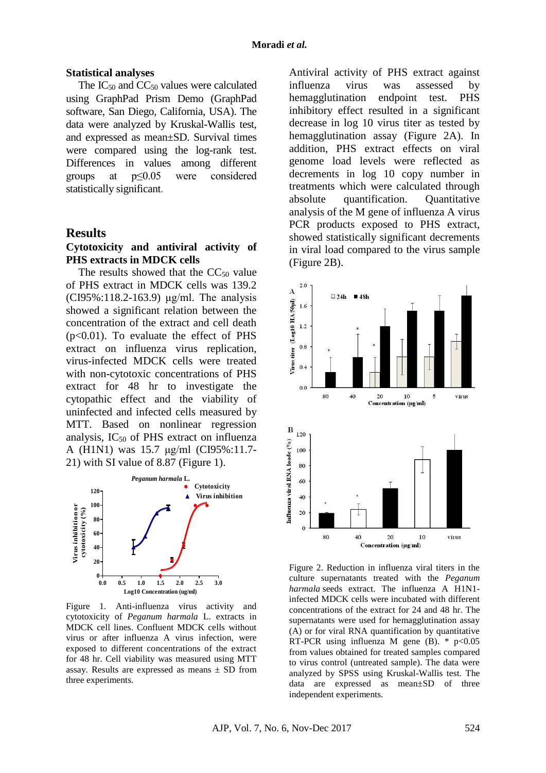#### **Statistical analyses**

The IC<sub>50</sub> and CC<sub>50</sub> values were calculated using GraphPad Prism Demo (GraphPad software, San Diego, California, USA). The data were analyzed by Kruskal-Wallis test, and expressed as mean±SD. Survival times were compared using the log-rank test. Differences in values among different groups at p≤0.05 were considered statistically significant.

#### **Results**

#### **Cytotoxicity and antiviral activity of PHS extracts in MDCK cells**

The results showed that the  $CC_{50}$  value of PHS extract in MDCK cells was 139.2 (CI95%:118.2-163.9) μg/ml. The analysis showed a significant relation between the concentration of the extract and cell death  $(p<0.01)$ . To evaluate the effect of PHS extract on influenza virus replication, virus-infected MDCK cells were treated with non-cytotoxic concentrations of PHS extract for 48 hr to investigate the cytopathic effect and the viability of uninfected and infected cells measured by MTT. Based on nonlinear regression analysis,  $IC_{50}$  of PHS extract on influenza A (H1N1) was 15.7 μg/ml (CI95%:11.7- 21) with SI value of 8.87 (Figure 1).



Figure 1. Anti-influenza virus activity and cytotoxicity of *Peganum harmala* L. extracts in MDCK cell lines. Confluent MDCK cells without virus or after influenza A virus infection, were exposed to different concentrations of the extract for 48 hr. Cell viability was measured using MTT assay. Results are expressed as means  $\pm$  SD from three experiments.

Antiviral activity of PHS extract against influenza virus was assessed by hemagglutination endpoint test. PHS inhibitory effect resulted in a significant decrease in log 10 virus titer as tested by hemagglutination assay (Figure 2A). In addition, PHS extract effects on viral genome load levels were reflected as decrements in log 10 copy number in treatments which were calculated through absolute quantification. Quantitative analysis of the M gene of influenza A virus PCR products exposed to PHS extract, showed statistically significant decrements in viral load compared to the virus sample (Figure 2B).



Figure 2. Reduction in influenza viral titers in the culture supernatants treated with the *Peganum harmala* seeds extract. The influenza A H1N1 infected MDCK cells were incubated with different concentrations of the extract for 24 and 48 hr. The supernatants were used for hemagglutination assay (A) or for viral RNA quantification by quantitative RT-PCR using influenza M gene  $(B)$ . \*  $p<0.05$ from values obtained for treated samples compared to virus control (untreated sample). The data were analyzed by SPSS using Kruskal-Wallis test. The data are expressed as mean±SD of three independent experiments.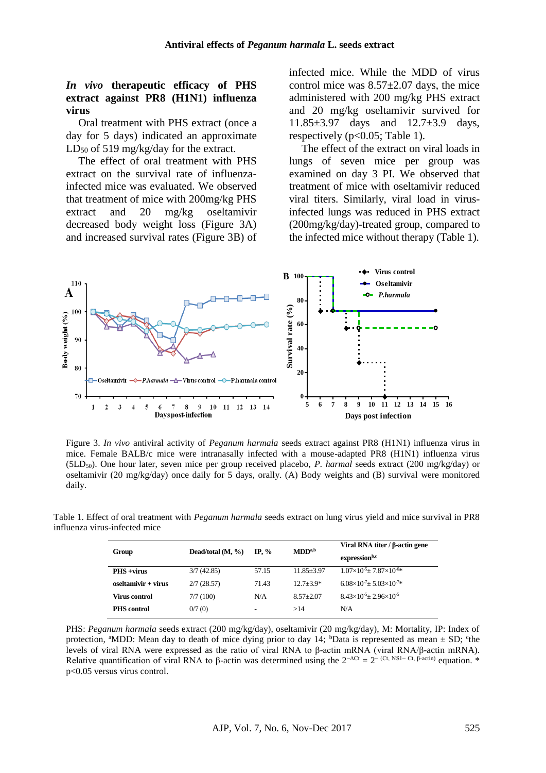#### *In vivo* **therapeutic efficacy of PHS extract against PR8 (H1N1) influenza virus**

Oral treatment with PHS extract (once a day for 5 days) indicated an approximate LD<sub>50</sub> of 519 mg/kg/day for the extract.

The effect of oral treatment with PHS extract on the survival rate of influenzainfected mice was evaluated. We observed that treatment of mice with 200mg/kg PHS extract and 20 mg/kg oseltamivir decreased body weight loss (Figure 3A) and increased survival rates (Figure 3B) of infected mice. While the MDD of virus control mice was  $8.57 \pm 2.07$  days, the mice administered with 200 mg/kg PHS extract and 20 mg/kg oseltamivir survived for 11.85±3.97 days and 12.7±3.9 days, respectively ( $p<0.05$ ; Table 1).

The effect of the extract on viral loads in lungs of seven mice per group was examined on day 3 PI. We observed that treatment of mice with oseltamivir reduced viral titers. Similarly, viral load in virusinfected lungs was reduced in PHS extract (200mg/kg/day)-treated group, compared to the infected mice without therapy (Table 1).



Figure 3. *In vivo* antiviral activity of *Peganum harmala* seeds extract against PR8 (H1N1) influenza virus in mice. Female BALB/c mice were intranasally infected with a mouse-adapted PR8 (H1N1) influenza virus (5LD50). One hour later, seven mice per group received placebo, *P. harmal* seeds extract (200 mg/kg/day) or oseltamivir (20 mg/kg/day) once daily for 5 days, orally. (A) Body weights and (B) survival were monitored daily.

|                                                                                                                          |  |  | $V_{\text{total}}$ DM $\lambda$ $\mathcal{L}_{\text{total}}$ (0) and a second |  |  |
|--------------------------------------------------------------------------------------------------------------------------|--|--|-------------------------------------------------------------------------------|--|--|
| influenza virus-infected mice                                                                                            |  |  |                                                                               |  |  |
| Table 1. Effect of oral treatment with <i>Peganum harmala</i> seeds extract on lung virus yield and mice survival in PR8 |  |  |                                                                               |  |  |

| Group                | Dead/total $(M, \%)$ | IP. $%$ | MDD <sup>a,b</sup> | Viral RNA titer / $\beta$ -actin gene<br>expression <sup>b,c</sup> |
|----------------------|----------------------|---------|--------------------|--------------------------------------------------------------------|
| $PHS + virus$        | 3/7(42.85)           | 57.15   | $11.85 + 3.97$     | $1.07\times10^{5}$ ± $7.87\times10^{6}$ *                          |
| oseltamivir + virus  | 2/7(28.57)           | 71.43   | $12.7 + 3.9*$      | $6.08\times10^{7}$ ± 5.03×10 <sup>-7*</sup>                        |
| <b>Virus control</b> | 7/7(100)             | N/A     | $8.57 + 2.07$      | $8.43\times10^{-5}$ ± 2.96 $\times10^{-5}$                         |
| <b>PHS</b> control   | 0/7(0)               | ٠       | >14                | N/A                                                                |

PHS: *Peganum harmala* seeds extract (200 mg/kg/day), oseltamivir (20 mg/kg/day), M: Mortality, IP: Index of protection, <sup>a</sup>MDD: Mean day to death of mice dying prior to day 14; <sup>b</sup>Data is represented as mean  $\pm$  SD; <sup>c</sup>the levels of viral RNA were expressed as the ratio of viral RNA to β-actin mRNA (viral RNA/β-actin mRNA). Relative quantification of viral RNA to β-actin was determined using the  $2^{-\Delta Ct} = 2^{-(Ct, NS1 - Ct, \beta\text{-actin})}$  equation. \* p<0.05 versus virus control.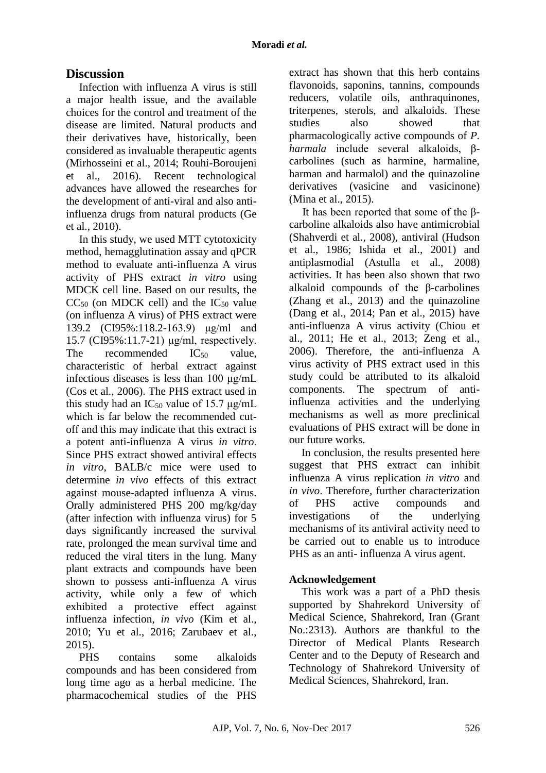# **Discussion**

Infection with influenza A virus is still a major health issue, and the available choices for the control and treatment of the disease are limited. Natural products and their derivatives have, historically, been considered as invaluable therapeutic agents (Mirhosseini et al., 2014; Rouhi-Boroujeni et al., 2016). Recent technological advances have allowed the researches for the development of anti-viral and also antiinfluenza drugs from natural products (Ge et al., 2010).

In this study, we used MTT cytotoxicity method, hemagglutination assay and qPCR method to evaluate anti-influenza A virus activity of PHS extract *in vitro* using MDCK cell line. Based on our results, the  $CC_{50}$  (on MDCK cell) and the  $IC_{50}$  value (on influenza A virus) of PHS extract were 139.2 (CI95%:118.2-163.9) μg/ml and 15.7 (CI95%:11.7-21) μg/ml, respectively. The recommended  $IC_{50}$  value, characteristic of herbal extract against infectious diseases is less than 100 μg/mL (Cos et al., 2006). The PHS extract used in this study had an IC<sub>50</sub> value of 15.7  $\mu$ g/mL which is far below the recommended cutoff and this may indicate that this extract is a potent anti-influenza A virus *in vitro*. Since PHS extract showed antiviral effects *in vitro*, BALB/c mice were used to determine *in vivo* effects of this extract against mouse-adapted influenza A virus. Orally administered PHS 200 mg/kg/day (after infection with influenza virus) for 5 days significantly increased the survival rate, prolonged the mean survival time and reduced the viral titers in the lung. Many plant extracts and compounds have been shown to possess anti-influenza A virus activity, while only a few of which exhibited a protective effect against influenza infection, *in vivo* (Kim et al., 2010; Yu et al., 2016; Zarubaev et al., 2015).

PHS contains some alkaloids compounds and has been considered from long time ago as a herbal medicine. The pharmacochemical studies of the PHS

extract has shown that this herb contains flavonoids, saponins, tannins, compounds reducers, volatile oils, anthraquinones, triterpenes, sterols, and alkaloids. These studies also showed that pharmacologically active compounds of *P. harmala* include several alkaloids, βcarbolines (such as harmine, harmaline, harman and harmalol) and the quinazoline derivatives (vasicine and vasicinone) (Mina et al., 2015).

It has been reported that some of the βcarboline alkaloids also have antimicrobial (Shahverdi et al., 2008), antiviral (Hudson et al., 1986; Ishida et al., 2001) and antiplasmodial (Astulla et al., 2008) activities. It has been also shown that two alkaloid compounds of the β-carbolines (Zhang et al., 2013) and the quinazoline (Dang et al., 2014; Pan et al., 2015) have anti-influenza A virus activity (Chiou et al., 2011; He et al., 2013; Zeng et al., 2006). Therefore, the anti-influenza A virus activity of PHS extract used in this study could be attributed to its alkaloid components. The spectrum of antiinfluenza activities and the underlying mechanisms as well as more preclinical evaluations of PHS extract will be done in our future works.

In conclusion, the results presented here suggest that PHS extract can inhibit influenza A virus replication *in vitro* and *in vivo*. Therefore, further characterization of PHS active compounds and investigations of the underlying mechanisms of its antiviral activity need to be carried out to enable us to introduce PHS as an anti- influenza A virus agent.

## **Acknowledgement**

This work was a part of a PhD thesis supported by Shahrekord University of Medical Science, Shahrekord, Iran (Grant No.:2313). Authors are thankful to the Director of Medical Plants Research Center and to the Deputy of Research and Technology of Shahrekord University of Medical Sciences, Shahrekord, Iran.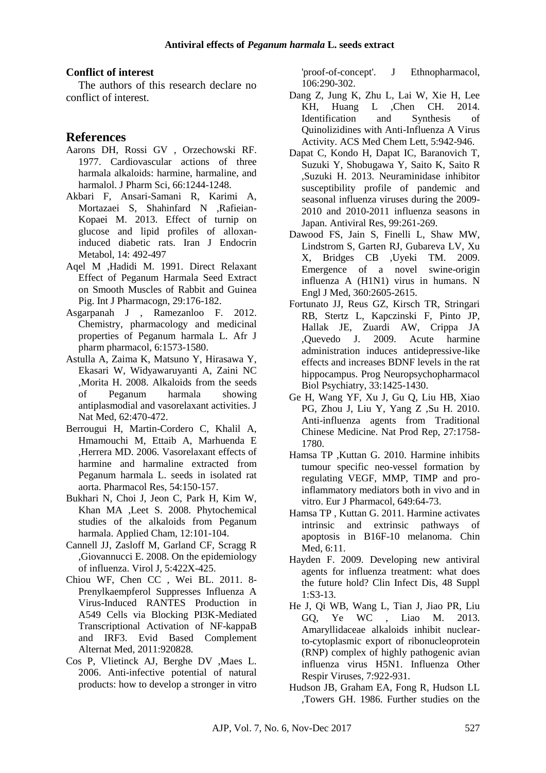#### **Conflict of interest**

The authors of this research declare no conflict of interest.

#### **References**

- Aarons DH, Rossi GV , Orzechowski RF. 1977. Cardiovascular actions of three harmala alkaloids: harmine, harmaline, and harmalol. J Pharm Sci, 66:1244-1248.
- Akbari F, Ansari-Samani R, Karimi A, Mortazaei S, Shahinfard N ,Rafieian-Kopaei M. 2013. Effect of turnip on glucose and lipid profiles of alloxaninduced diabetic rats. Iran J Endocrin Metabol, 14: 492-497
- Aqel M ,Hadidi M. 1991. Direct Relaxant Effect of Peganum Harmala Seed Extract on Smooth Muscles of Rabbit and Guinea Pig. Int J Pharmacogn, 29:176-182.
- Asgarpanah J , Ramezanloo F. 2012. Chemistry, pharmacology and medicinal properties of Peganum harmala L. Afr J pharm pharmacol, 6:1573-1580.
- Astulla A, Zaima K, Matsuno Y, Hirasawa Y, Ekasari W, Widyawaruyanti A, Zaini NC ,Morita H. 2008. Alkaloids from the seeds of Peganum harmala showing antiplasmodial and vasorelaxant activities. J Nat Med, 62:470-472.
- Berrougui H, Martin-Cordero C, Khalil A, Hmamouchi M, Ettaib A, Marhuenda E ,Herrera MD. 2006. Vasorelaxant effects of harmine and harmaline extracted from Peganum harmala L. seeds in isolated rat aorta. Pharmacol Res, 54:150-157.
- Bukhari N, Choi J, Jeon C, Park H, Kim W, Khan MA ,Leet S. 2008. Phytochemical studies of the alkaloids from Peganum harmala. Applied Cham, 12:101-104.
- Cannell JJ, Zasloff M, Garland CF, Scragg R ,Giovannucci E. 2008. On the epidemiology of influenza. Virol J, 5:422X-425.
- Chiou WF, Chen CC , Wei BL. 2011. 8- Prenylkaempferol Suppresses Influenza A Virus-Induced RANTES Production in A549 Cells via Blocking PI3K-Mediated Transcriptional Activation of NF-kappaB and IRF3. Evid Based Complement Alternat Med, 2011:920828.
- Cos P, Vlietinck AJ, Berghe DV ,Maes L. 2006. Anti-infective potential of natural products: how to develop a stronger in vitro

'proof-of-concept'. J Ethnopharmacol, 106:290-302.

- Dang Z, Jung K, Zhu L, Lai W, Xie H, Lee KH, Huang L ,Chen CH. 2014. Identification and Synthesis of Quinolizidines with Anti-Influenza A Virus Activity. ACS Med Chem Lett, 5:942-946.
- Dapat C, Kondo H, Dapat IC, Baranovich T, Suzuki Y, Shobugawa Y, Saito K, Saito R ,Suzuki H. 2013. Neuraminidase inhibitor susceptibility profile of pandemic and seasonal influenza viruses during the 2009- 2010 and 2010-2011 influenza seasons in Japan. Antiviral Res, 99:261-269.
- Dawood FS, Jain S, Finelli L, Shaw MW, Lindstrom S, Garten RJ, Gubareva LV, Xu X, Bridges CB ,Uyeki TM. 2009. Emergence of a novel swine-origin influenza A (H1N1) virus in humans. N Engl J Med, 360:2605-2615.
- Fortunato JJ, Reus GZ, Kirsch TR, Stringari RB, Stertz L, Kapczinski F, Pinto JP, Hallak JE, Zuardi AW, Crippa JA ,Quevedo J. 2009. Acute harmine administration induces antidepressive-like effects and increases BDNF levels in the rat hippocampus. Prog Neuropsychopharmacol Biol Psychiatry, 33:1425-1430.
- Ge H, Wang YF, Xu J, Gu Q, Liu HB, Xiao PG, Zhou J, Liu Y, Yang Z ,Su H. 2010. Anti-influenza agents from Traditional Chinese Medicine. Nat Prod Rep, 27:1758- 1780.
- Hamsa TP ,Kuttan G. 2010. Harmine inhibits tumour specific neo-vessel formation by regulating VEGF, MMP, TIMP and proinflammatory mediators both in vivo and in vitro. Eur J Pharmacol, 649:64-73.
- Hamsa TP , Kuttan G. 2011. Harmine activates intrinsic and extrinsic pathways of apoptosis in B16F-10 melanoma. Chin Med, 6:11.
- Hayden F. 2009. Developing new antiviral agents for influenza treatment: what does the future hold? Clin Infect Dis, 48 Suppl 1:S3-13.
- He J, Qi WB, Wang L, Tian J, Jiao PR, Liu GQ, Ye WC , Liao M. 2013. Amaryllidaceae alkaloids inhibit nuclearto-cytoplasmic export of ribonucleoprotein (RNP) complex of highly pathogenic avian influenza virus H5N1. Influenza Other Respir Viruses, 7:922-931.
- Hudson JB, Graham EA, Fong R, Hudson LL ,Towers GH. 1986. Further studies on the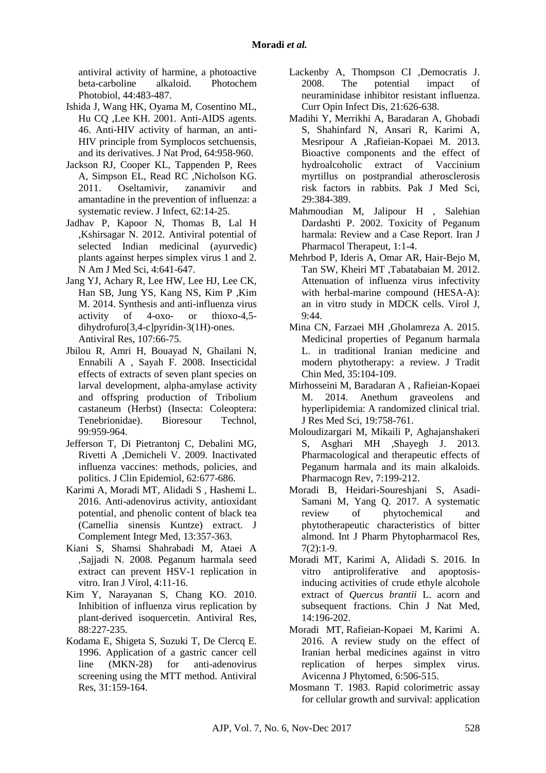antiviral activity of harmine, a photoactive beta-carboline alkaloid. Photochem Photobiol, 44:483-487.

- Ishida J, Wang HK, Oyama M, Cosentino ML, Hu CQ ,Lee KH. 2001. Anti-AIDS agents. 46. Anti-HIV activity of harman, an anti-HIV principle from Symplocos setchuensis, and its derivatives. J Nat Prod, 64:958-960.
- Jackson RJ, Cooper KL, Tappenden P, Rees A, Simpson EL, Read RC ,Nicholson KG. 2011. Oseltamivir, zanamivir, and amantadine in the prevention of influenza: a systematic review. J Infect, 62:14-25.
- Jadhav P, Kapoor N, Thomas B, Lal H ,Kshirsagar N. 2012. Antiviral potential of selected Indian medicinal (ayurvedic) plants against herpes simplex virus 1 and 2. N Am J Med Sci, 4:641-647.
- Jang YJ, Achary R, Lee HW, Lee HJ, Lee CK, Han SB, Jung YS, Kang NS, Kim P ,Kim M. 2014. Synthesis and anti-influenza virus activity of 4-oxo- or thioxo-4,5 dihydrofuro[3,4-c]pyridin-3(1H)-ones. Antiviral Res, 107:66-75.
- Jbilou R, Amri H, Bouayad N, Ghailani N, Ennabili A , Sayah F. 2008. Insecticidal effects of extracts of seven plant species on larval development, alpha-amylase activity and offspring production of Tribolium castaneum (Herbst) (Insecta: Coleoptera: Tenebrionidae). Bioresour Technol, 99:959-964.
- Jefferson T, Di Pietrantonj C, Debalini MG, Rivetti A ,Demicheli V. 2009. Inactivated influenza vaccines: methods, policies, and politics. J Clin Epidemiol, 62:677-686.
- Karimi A, Moradi MT, Alidadi S , Hashemi L. 2016. Anti-adenovirus activity, antioxidant potential, and phenolic content of black tea (Camellia sinensis Kuntze) extract. J Complement Integr Med, 13:357-363.
- Kiani S, Shamsi Shahrabadi M, Ataei A ,Sajjadi N. 2008. Peganum harmala seed extract can prevent HSV-1 replication in vitro. Iran J Virol, 4:11-16.
- Kim Y, Narayanan S, Chang KO. 2010. Inhibition of influenza virus replication by plant-derived isoquercetin. Antiviral Res, 88:227-235.
- Kodama E, Shigeta S, Suzuki T, De Clercq E. 1996. Application of a gastric cancer cell line (MKN-28) for anti-adenovirus screening using the MTT method. Antiviral Res, 31:159-164.
- Lackenby A, Thompson CI ,Democratis J. 2008. The potential impact of neuraminidase inhibitor resistant influenza. Curr Opin Infect Dis, 21:626-638.
- Madihi Y, Merrikhi A, Baradaran A, Ghobadi S, Shahinfard N, Ansari R, Karimi A, Mesripour A ,Rafieian-Kopaei M. 2013. Bioactive components and the effect of hydroalcoholic extract of Vaccinium myrtillus on postprandial atherosclerosis risk factors in rabbits. Pak J Med Sci, 29:384-389.
- Mahmoudian M, Jalipour H , Salehian Dardashti P. 2002. Toxicity of Peganum harmala: Review and a Case Report. Iran J Pharmacol Therapeut, 1:1-4.
- Mehrbod P, Ideris A, Omar AR, Hair-Bejo M, Tan SW, Kheiri MT ,Tabatabaian M. 2012. Attenuation of influenza virus infectivity with herbal-marine compound (HESA-A): an in vitro study in MDCK cells. Virol J, 9:44.
- Mina CN, Farzaei MH ,Gholamreza A. 2015. Medicinal properties of Peganum harmala L. in traditional Iranian medicine and modern phytotherapy: a review. J Tradit Chin Med, 35:104-109.
- Mirhosseini M, Baradaran A , Rafieian-Kopaei M. 2014. Anethum graveolens and hyperlipidemia: A randomized clinical trial. J Res Med Sci, 19:758-761.
- Moloudizargari M, Mikaili P, Aghajanshakeri S, Asghari MH ,Shayegh J. 2013. Pharmacological and therapeutic effects of Peganum harmala and its main alkaloids. Pharmacogn Rev, 7:199-212.
- Moradi B, Heidari-Soureshjani S, Asadi-Samani M, Yang Q. 2017. A systematic review of phytochemical and phytotherapeutic characteristics of bitter almond. Int J Pharm Phytopharmacol Res, 7(2):1-9.
- Moradi MT, Karimi A, Alidadi S. 2016. In vitro antiproliferative and apoptosisinducing activities of crude ethyle alcohole extract of *Quercus brantii* L. acorn and subsequent fractions. Chin J Nat Med, 14:196-202.
- Moradi MT, Rafieian-Kopaei M, [Karimi A.](https://www.ncbi.nlm.nih.gov/pubmed/?term=Karimi%20A%5BAuthor%5D&cauthor=true&cauthor_uid=27761420) 2016. A review study on the effect of Iranian herbal medicines against in vitro replication of herpes simplex virus. Avicenna J Phytomed, 6:506-515.
- Mosmann T. 1983. Rapid colorimetric assay for cellular growth and survival: application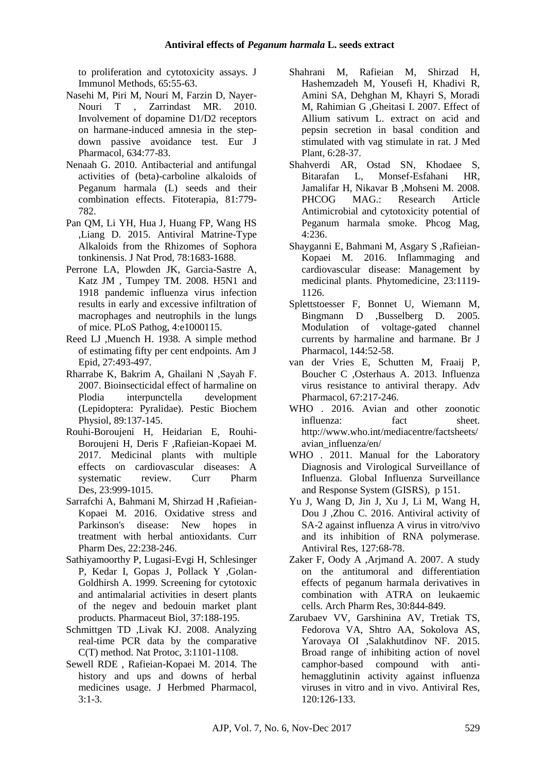to proliferation and cytotoxicity assays. J Immunol Methods, 65:55-63.

- Nasehi M, Piri M, Nouri M, Farzin D, Nayer-Nouri T , Zarrindast MR. 2010. Involvement of dopamine D1/D2 receptors on harmane-induced amnesia in the stepdown passive avoidance test. Eur J Pharmacol, 634:77-83.
- Nenaah G. 2010. Antibacterial and antifungal activities of (beta)-carboline alkaloids of Peganum harmala (L) seeds and their combination effects. Fitoterapia, 81:779- 782.
- Pan QM, Li YH, Hua J, Huang FP, Wang HS ,Liang D. 2015. Antiviral Matrine-Type Alkaloids from the Rhizomes of Sophora tonkinensis. J Nat Prod, 78:1683-1688.
- Perrone LA, Plowden JK, Garcia-Sastre A, Katz JM , Tumpey TM. 2008. H5N1 and 1918 pandemic influenza virus infection results in early and excessive infiltration of macrophages and neutrophils in the lungs of mice. PLoS Pathog, 4:e1000115.
- Reed LJ ,Muench H. 1938. A simple method of estimating fifty per cent endpoints. Am J Epid, 27:493-497.
- Rharrabe K, Bakrim A, Ghailani N ,Sayah F. 2007. Bioinsecticidal effect of harmaline on Plodia interpunctella development (Lepidoptera: Pyralidae). Pestic Biochem Physiol, 89:137-145.
- Rouhi-Boroujeni H, Heidarian E, Rouhi-Boroujeni H, Deris F ,Rafieian-Kopaei M. 2017. Medicinal plants with multiple effects on cardiovascular diseases: A systematic review. Curr Pharm Des, 23:999-1015.
- Sarrafchi A, Bahmani M, Shirzad H ,Rafieian-Kopaei M. 2016. Oxidative stress and Parkinson's disease: New hopes in treatment with herbal antioxidants. Curr Pharm Des, 22:238-246.
- Sathiyamoorthy P, Lugasi-Evgi H, Schlesinger P, Kedar I, Gopas J, Pollack Y ,Golan-Goldhirsh A. 1999. Screening for cytotoxic and antimalarial activities in desert plants of the negev and bedouin market plant products. Pharmaceut Biol, 37:188-195.
- Schmittgen TD ,Livak KJ. 2008. Analyzing real-time PCR data by the comparative C(T) method. Nat Protoc, 3:1101-1108.
- Sewell RDE , Rafieian-Kopaei M. 2014. The history and ups and downs of herbal medicines usage. J Herbmed Pharmacol,  $3:1-3.$
- Shahrani M, Rafieian M, Shirzad H, Hashemzadeh M, Yousefi H, Khadivi R, Amini SA, Dehghan M, Khayri S, Moradi M, Rahimian G ,Gheitasi I. 2007. Effect of Allium sativum L. extract on acid and pepsin secretion in basal condition and stimulated with vag stimulate in rat. J Med Plant, 6:28-37.
- Shahverdi AR, Ostad SN, Khodaee S,<br>Bitarafan L. Monsef-Esfahani HR, Bitarafan L, Monsef-Esfahani HR, Jamalifar H, Nikavar B ,Mohseni M. 2008. PHCOG MAG.: Research Article Antimicrobial and cytotoxicity potential of Peganum harmala smoke. Phcog Mag, 4:236.
- Shayganni E, Bahmani M, Asgary S ,Rafieian-Kopaei M. 2016. Inflammaging and cardiovascular disease: Management by medicinal plants. Phytomedicine, 23:1119- 1126.
- Splettstoesser F, Bonnet U, Wiemann M, Bingmann D ,Busselberg D. 2005. Modulation of voltage-gated channel currents by harmaline and harmane. Br J Pharmacol, 144:52-58.
- van der Vries E, Schutten M, Fraaij P, Boucher C ,Osterhaus A. 2013. Influenza virus resistance to antiviral therapy. Adv Pharmacol, 67:217-246.
- WHO . 2016. Avian and other zoonotic influenza: fact sheet. http://www.who.int/mediacentre/factsheets/ avian\_influenza/en/
- WHO . 2011. Manual for the Laboratory Diagnosis and Virological Surveillance of Influenza. Global Influenza Surveillance and Response System (GISRS), p 151.
- Yu J, Wang D, Jin J, Xu J, Li M, Wang H, Dou J ,Zhou C. 2016. Antiviral activity of SA-2 against influenza A virus in vitro/vivo and its inhibition of RNA polymerase. Antiviral Res, 127:68-78.
- Zaker F, Oody A ,Arjmand A. 2007. A study on the antitumoral and differentiation effects of peganum harmala derivatives in combination with ATRA on leukaemic cells. Arch Pharm Res, 30:844-849.
- Zarubaev VV, Garshinina AV, Tretiak TS, Fedorova VA, Shtro AA, Sokolova AS, Yarovaya OI ,Salakhutdinov NF. 2015. Broad range of inhibiting action of novel camphor-based compound with antihemagglutinin activity against influenza viruses in vitro and in vivo. Antiviral Res, 120:126-133.